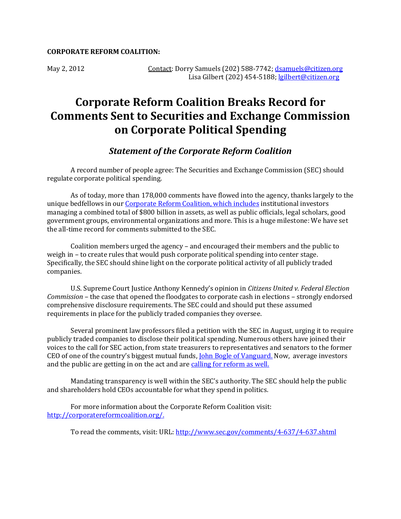## **CORPORATE REFORM COALITION:**

## **Corporate Reform Coalition Breaks Record for Comments Sent to Securities and Exchange Commission on Corporate Political Spending**

## *Statement of the Corporate Reform Coalition*

A record number of people agree: The Securities and Exchange Commission (SEC) should regulate corporate political spending.

As of today, more than 178,000 comments have flowed into the agency, thanks largely to the unique bedfellows in our [Corporate Reform Coalition,](http://www.corporatereformcoalition.org/) which includes institutional investors managing a combined total of \$800 billion in assets, as well as public officials, legal scholars, good government groups, environmental organizations and more. This is a huge milestone: We have set the all-time record for comments submitted to the SEC.

Coalition members urged the agency – and encouraged their members and the public to weigh in – to create rules that would push corporate political spending into center stage. Specifically, the SEC should shine light on the corporate political activity of all publicly traded companies.

U.S. Supreme Court Justice Anthony Kennedy's opinion in *Citizens United v. Federal Election Commission* – the case that opened the floodgates to corporate cash in elections – strongly endorsed comprehensive disclosure requirements. The SEC could and should put these assumed requirements in place for the publicly traded companies they oversee.

Several prominent law professors filed a petition with the SEC in August, urging it to require publicly traded companies to disclose their political spending. Numerous others have joined their voices to the call for SEC action, from state treasurers to representatives and senators to the former CEO of one of the country's biggest mutual funds, [John Bogle of Vanguard.](http://www.sec.gov/comments/4-637/4637-22.pdf) Now, average investors and the public are getting in on the act and are [calling for reform as well.](http://pubc.it/actSEC)

Mandating transparency is well within the SEC's authority. The SEC should help the public and shareholders hold CEOs accountable for what they spend in politics.

For more information about the Corporate Reform Coalition visit: [http://corporatereformcoalition.org/.](http://corporatereformcoalition.org/)

To read the comments, visit: URL[: http://www.sec.gov/comments/4-637/4-637.shtml](http://www.sec.gov/comments/4-637/4-637.shtml)